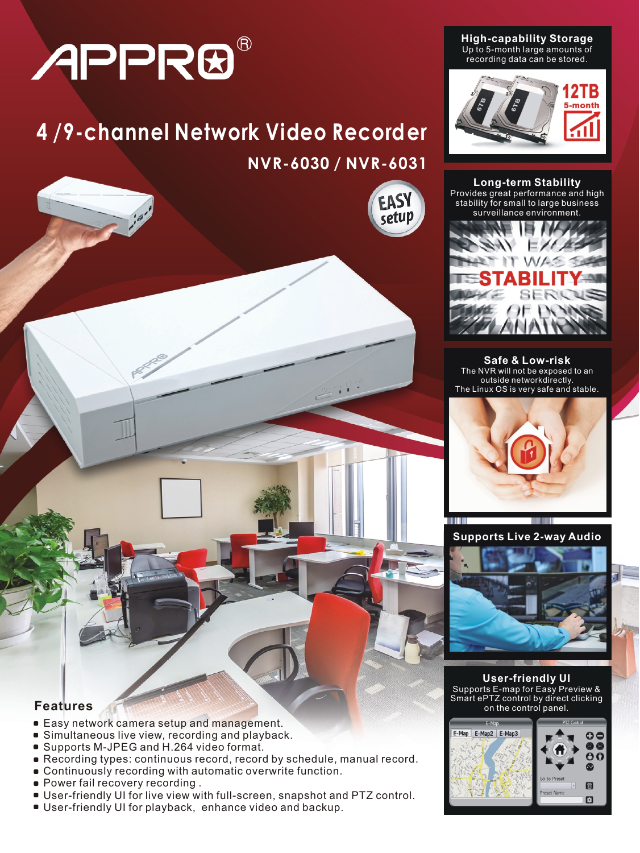# APPR®

# **4 /9-channel Network Video Recorder NVR-6030 / NVR-6031**



**High-capability Storage** Up to 5-month large amounts of recording data can be stored.



**Long-term Stability** Provides great performance and high stability for small to large business surveillance environment.



**Safe & Low-risk** The NVR will not be exposed to an outside networkdirectly. The Linux OS is very safe and stable.



**Supports Live 2-way Audio**



**User-friendly UI** Supports E-map for Easy Preview & Smart ePTZ control by direct clicking on the control panel.



# **Features**

- **Easy network camera setup and management.**
- **Simultaneous live view, recording and playback.**
- Supports M-JPEG and H.264 video format.
- Recording types: continuous record, record by schedule, manual record.  $\blacksquare$
- Continuously recording with automatic overwrite function.
- **Power fail recovery recording.**
- User-friendly UI for live view with full-screen, snapshot and PTZ control.
- User-friendly UI for playback, enhance video and backup.